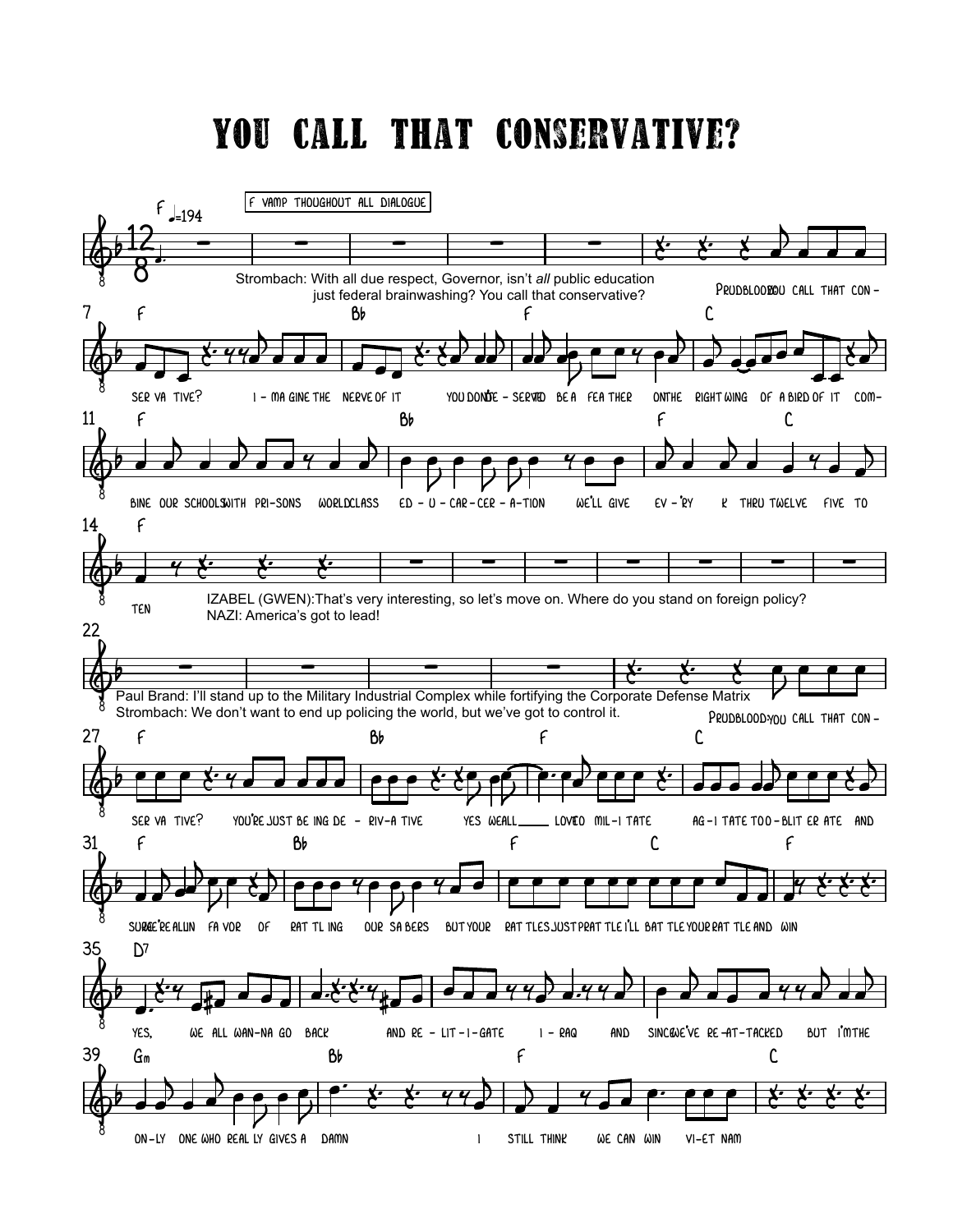## YOU CALL THAT CONSERVATIVE?

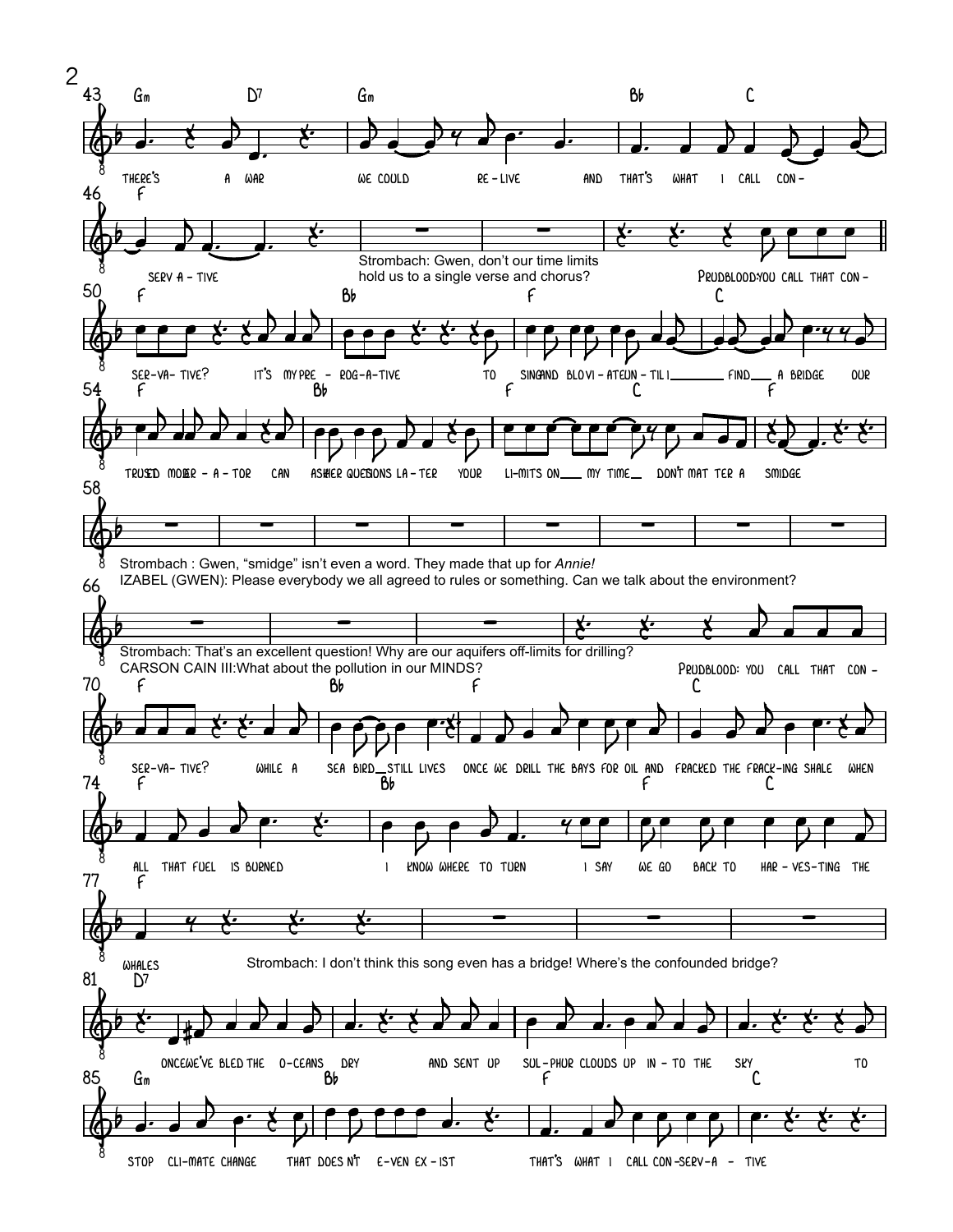